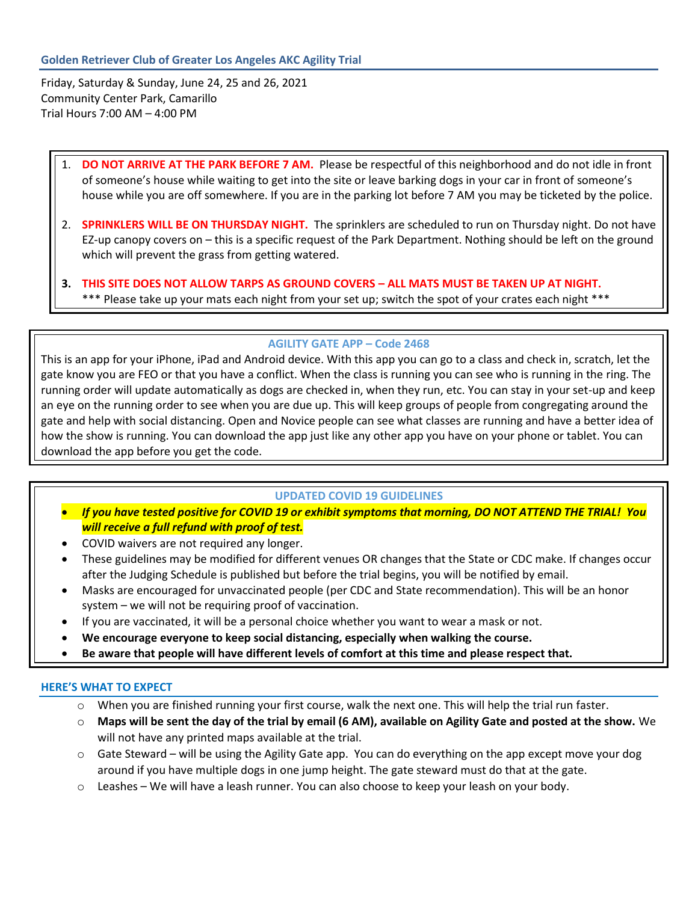Friday, Saturday & Sunday, June 24, 25 and 26, 2021 Community Center Park, Camarillo Trial Hours 7:00 AM – 4:00 PM

# 1. **DO NOT ARRIVE AT THE PARK BEFORE 7 AM.** Please be respectful of this neighborhood and do not idle in front of someone's house while waiting to get into the site or leave barking dogs in your car in front of someone's house while you are off somewhere. If you are in the parking lot before 7 AM you may be ticketed by the police.

- 2. **SPRINKLERS WILL BE ON THURSDAY NIGHT.** The sprinklers are scheduled to run on Thursday night. Do not have EZ-up canopy covers on – this is a specific request of the Park Department. Nothing should be left on the ground which will prevent the grass from getting watered.
- **3. THIS SITE DOES NOT ALLOW TARPS AS GROUND COVERS – ALL MATS MUST BE TAKEN UP AT NIGHT.** \*\*\* Please take up your mats each night from your set up; switch the spot of your crates each night \*\*\*

## **AGILITY GATE APP – Code 2468**

This is an app for your iPhone, iPad and Android device. With this app you can go to a class and check in, scratch, let the gate know you are FEO or that you have a conflict. When the class is running you can see who is running in the ring. The running order will update automatically as dogs are checked in, when they run, etc. You can stay in your set-up and keep an eye on the running order to see when you are due up. This will keep groups of people from congregating around the gate and help with social distancing. Open and Novice people can see what classes are running and have a better idea of how the show is running. You can download the app just like any other app you have on your phone or tablet. You can download the app before you get the code.

#### **UPDATED COVID 19 GUIDELINES**

- *If you have tested positive for COVID 19 or exhibit symptoms that morning, DO NOT ATTEND THE TRIAL! You will receive a full refund with proof of test.*
- COVID waivers are not required any longer.
- These guidelines may be modified for different venues OR changes that the State or CDC make. If changes occur after the Judging Schedule is published but before the trial begins, you will be notified by email.
- Masks are encouraged for unvaccinated people (per CDC and State recommendation). This will be an honor system – we will not be requiring proof of vaccination.
- If you are vaccinated, it will be a personal choice whether you want to wear a mask or not.
- **We encourage everyone to keep social distancing, especially when walking the course.**
- **Be aware that people will have different levels of comfort at this time and please respect that.**

## **HERE'S WHAT TO EXPECT**

- $\circ$  When you are finished running your first course, walk the next one. This will help the trial run faster.
- o **Maps will be sent the day of the trial by email (6 AM), available on Agility Gate and posted at the show.** We will not have any printed maps available at the trial.
- o Gate Steward will be using the Agility Gate app. You can do everything on the app except move your dog around if you have multiple dogs in one jump height. The gate steward must do that at the gate.
- o Leashes We will have a leash runner. You can also choose to keep your leash on your body.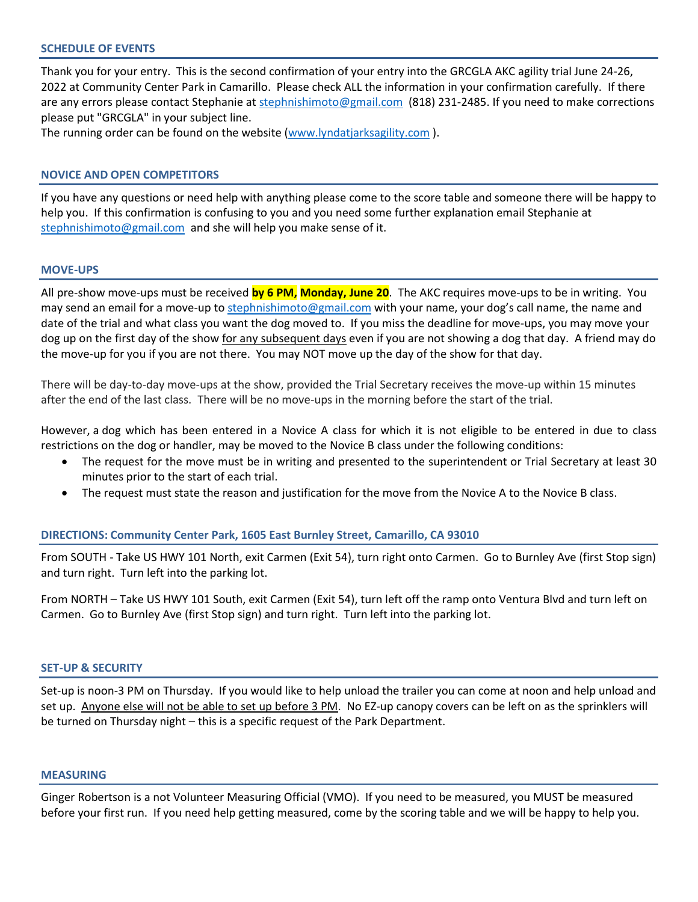## **SCHEDULE OF EVENTS**

Thank you for your entry. This is the second confirmation of your entry into the GRCGLA AKC agility trial June 24-26, 2022 at Community Center Park in Camarillo. Please check ALL the information in your confirmation carefully. If there are any errors please contact Stephanie at [stephnishimoto@gmail.com](mailto:agilesam@gmail.com) (818) 231-2485. If you need to make corrections please put "GRCGLA" in your subject line.

The running order can be found on the website [\(www.lyndatjarksagility.com](http://www.lyndatjarksagility.com/) ).

## **NOVICE AND OPEN COMPETITORS**

If you have any questions or need help with anything please come to the score table and someone there will be happy to help you. If this confirmation is confusing to you and you need some further explanation email Stephanie at [stephnishimoto@gmail.com](mailto:agilesam@gmail.com) and she will help you make sense of it.

#### **MOVE-UPS**

All pre-show move-ups must be received **by 6 PM, Monday, June 20**. The AKC requires move-ups to be in writing. You may send an email for a move-up to [stephnishimoto@gmail.com](mailto:agilesam@gmail.com) with your name, your dog's call name, the name and date of the trial and what class you want the dog moved to. If you miss the deadline for move-ups, you may move your dog up on the first day of the show for any subsequent days even if you are not showing a dog that day. A friend may do the move-up for you if you are not there. You may NOT move up the day of the show for that day.

There will be day-to-day move-ups at the show, provided the Trial Secretary receives the move-up within 15 minutes after the end of the last class. There will be no move-ups in the morning before the start of the trial.

However, a dog which has been entered in a Novice A class for which it is not eligible to be entered in due to class restrictions on the dog or handler, may be moved to the Novice B class under the following conditions:

- The request for the move must be in writing and presented to the superintendent or Trial Secretary at least 30 minutes prior to the start of each trial.
- The request must state the reason and justification for the move from the Novice A to the Novice B class.

#### **DIRECTIONS: Community Center Park, 1605 East Burnley Street, Camarillo, CA 93010**

From SOUTH - Take US HWY 101 North, exit Carmen (Exit 54), turn right onto Carmen. Go to Burnley Ave (first Stop sign) and turn right. Turn left into the parking lot.

From NORTH – Take US HWY 101 South, exit Carmen (Exit 54), turn left off the ramp onto Ventura Blvd and turn left on Carmen. Go to Burnley Ave (first Stop sign) and turn right. Turn left into the parking lot.

#### **SET-UP & SECURITY**

Set-up is noon-3 PM on Thursday. If you would like to help unload the trailer you can come at noon and help unload and set up. Anyone else will not be able to set up before 3 PM. No EZ-up canopy covers can be left on as the sprinklers will be turned on Thursday night – this is a specific request of the Park Department.

#### **MEASURING**

Ginger Robertson is a not Volunteer Measuring Official (VMO). If you need to be measured, you MUST be measured before your first run. If you need help getting measured, come by the scoring table and we will be happy to help you.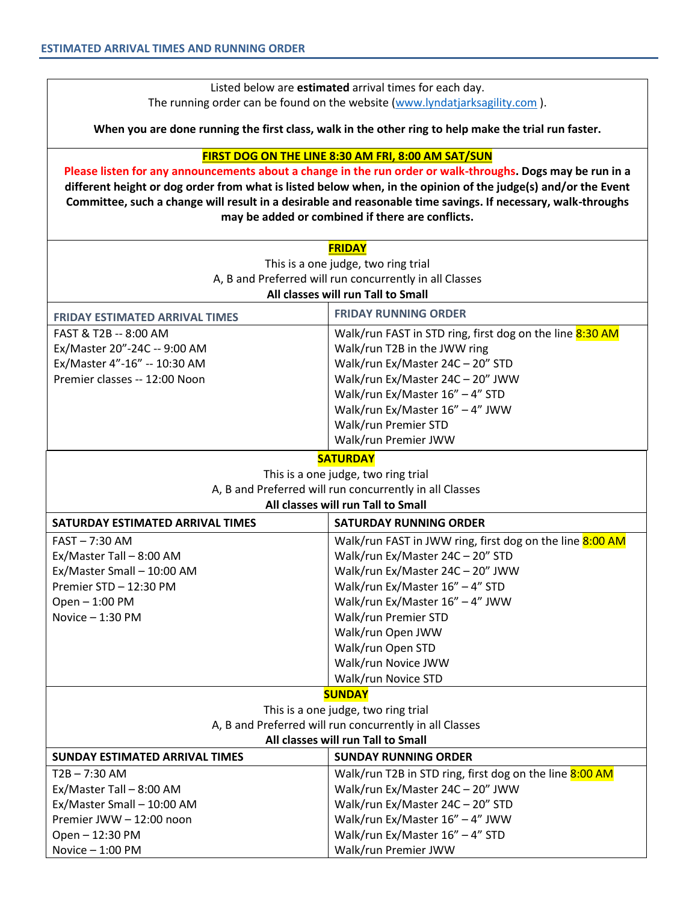Listed below are **estimated** arrival times for each day. The running order can be found on the website [\(www.lyndatjarksagility.com](about:blank)).

**When you are done running the first class, walk in the other ring to help make the trial run faster.**

## **FIRST DOG ON THE LINE 8:30 AM FRI, 8:00 AM SAT/SUN**

**Please listen for any announcements about a change in the run order or walk-throughs. Dogs may be run in a different height or dog order from what is listed below when, in the opinion of the judge(s) and/or the Event Committee, such a change will result in a desirable and reasonable time savings. If necessary, walk-throughs may be added or combined if there are conflicts.**

| <b>FRIDAY</b>                                           |                                                          |  |  |  |
|---------------------------------------------------------|----------------------------------------------------------|--|--|--|
| This is a one judge, two ring trial                     |                                                          |  |  |  |
|                                                         | A, B and Preferred will run concurrently in all Classes  |  |  |  |
|                                                         | All classes will run Tall to Small                       |  |  |  |
| <b>FRIDAY ESTIMATED ARRIVAL TIMES</b>                   | <b>FRIDAY RUNNING ORDER</b>                              |  |  |  |
| FAST & T2B -- 8:00 AM                                   | Walk/run FAST in STD ring, first dog on the line 8:30 AM |  |  |  |
| Ex/Master 20"-24C -- 9:00 AM                            | Walk/run T2B in the JWW ring                             |  |  |  |
| Ex/Master 4"-16" -- 10:30 AM                            | Walk/run Ex/Master 24C - 20" STD                         |  |  |  |
| Premier classes -- 12:00 Noon                           | Walk/run Ex/Master 24C - 20" JWW                         |  |  |  |
|                                                         | Walk/run Ex/Master 16" - 4" STD                          |  |  |  |
|                                                         | Walk/run Ex/Master 16" - 4" JWW                          |  |  |  |
|                                                         | Walk/run Premier STD                                     |  |  |  |
|                                                         | Walk/run Premier JWW                                     |  |  |  |
|                                                         | <b>SATURDAY</b>                                          |  |  |  |
|                                                         | This is a one judge, two ring trial                      |  |  |  |
| A, B and Preferred will run concurrently in all Classes |                                                          |  |  |  |
|                                                         | All classes will run Tall to Small                       |  |  |  |
| SATURDAY ESTIMATED ARRIVAL TIMES                        | <b>SATURDAY RUNNING ORDER</b>                            |  |  |  |
| FAST-7:30 AM                                            | Walk/run FAST in JWW ring, first dog on the line 8:00 AM |  |  |  |
| Ex/Master Tall - 8:00 AM                                | Walk/run Ex/Master 24C - 20" STD                         |  |  |  |
| Ex/Master Small - 10:00 AM                              | Walk/run Ex/Master 24C - 20" JWW                         |  |  |  |
| Premier STD - 12:30 PM                                  | Walk/run Ex/Master 16" - 4" STD                          |  |  |  |
| Open - 1:00 PM                                          | Walk/run Ex/Master 16" - 4" JWW                          |  |  |  |
| Novice - 1:30 PM                                        | Walk/run Premier STD                                     |  |  |  |
|                                                         | Walk/run Open JWW                                        |  |  |  |
|                                                         | Walk/run Open STD                                        |  |  |  |
|                                                         | Walk/run Novice JWW                                      |  |  |  |
|                                                         | Walk/run Novice STD                                      |  |  |  |
| <b>SUNDAY</b>                                           |                                                          |  |  |  |
|                                                         | This is a one judge, two ring trial                      |  |  |  |
| A, B and Preferred will run concurrently in all Classes |                                                          |  |  |  |
| All classes will run Tall to Small                      |                                                          |  |  |  |
| <b>SUNDAY ESTIMATED ARRIVAL TIMES</b>                   | <b>SUNDAY RUNNING ORDER</b>                              |  |  |  |
| $T2B - 7:30 AM$                                         | Walk/run T2B in STD ring, first dog on the line 8:00 AM  |  |  |  |
| Ex/Master Tall - 8:00 AM                                | Walk/run Ex/Master 24C - 20" JWW                         |  |  |  |
| Ex/Master Small - 10:00 AM                              | Walk/run Ex/Master 24C - 20" STD                         |  |  |  |
| Premier JWW - 12:00 noon                                | Walk/run Ex/Master 16" - 4" JWW                          |  |  |  |
| Open-12:30 PM                                           | Walk/run Ex/Master 16" - 4" STD                          |  |  |  |
| Novice - 1:00 PM                                        | Walk/run Premier JWW                                     |  |  |  |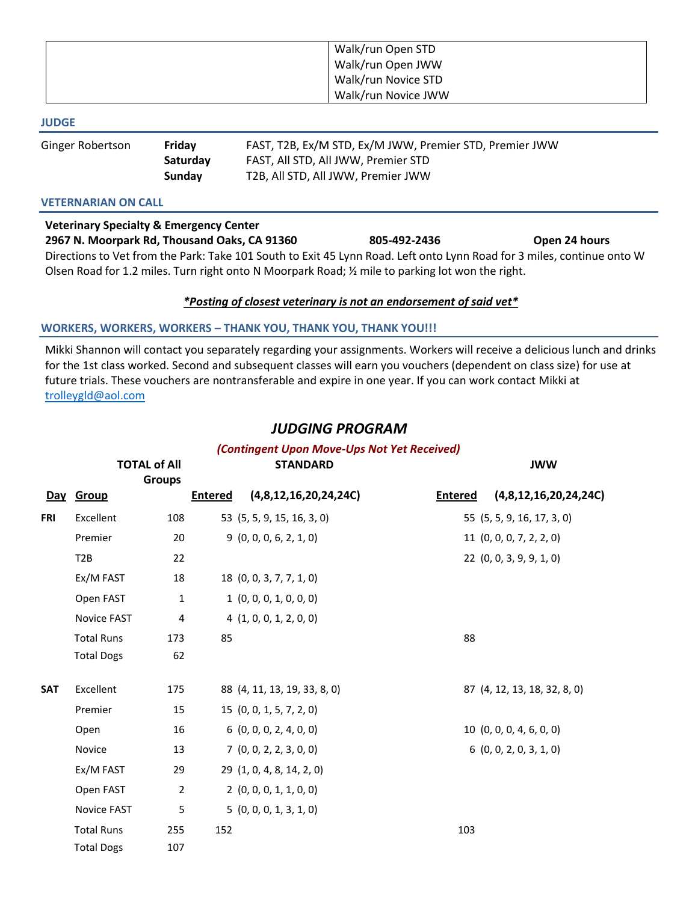| Walk/run Open STD   |
|---------------------|
| Walk/run Open JWW   |
| Walk/run Novice STD |
| Walk/run Novice JWW |

#### **JUDGE**

| Ginger Robertson | Friday   | FAST, T2B, Ex/M STD, Ex/M JWW, Premier STD, Premier JWW |
|------------------|----------|---------------------------------------------------------|
|                  | Saturday | FAST, All STD, All JWW, Premier STD                     |
|                  | Sunday   | T2B, All STD, All JWW, Premier JWW                      |

## **VETERNARIAN ON CALL**

**Veterinary Specialty & Emergency Center 2967 N. Moorpark Rd, Thousand Oaks, CA 91360 805-492-2436 Open 24 hours** Directions to Vet from the Park: Take 101 South to Exit 45 Lynn Road. Left onto Lynn Road for 3 miles, continue onto W Olsen Road for 1.2 miles. Turn right onto N Moorpark Road; ½ mile to parking lot won the right.

## *\*Posting of closest veterinary is not an endorsement of said vet\**

## **WORKERS, WORKERS, WORKERS – THANK YOU, THANK YOU, THANK YOU!!!**

Mikki Shannon will contact you separately regarding your assignments. Workers will receive a delicious lunch and drinks for the 1st class worked. Second and subsequent classes will earn you vouchers (dependent on class size) for use at future trials. These vouchers are nontransferable and expire in one year. If you can work contact Mikki at [trolleygld@aol.com](mailto:trolleygld@aol.com)

# *JUDGING PROGRAM*

|            |                    | <b>TOTAL of All</b><br><b>Groups</b> |                | (Contingent Upon Move-Ups Not Yet Received)<br><b>STANDARD</b> |                | <b>JWW</b>                   |
|------------|--------------------|--------------------------------------|----------------|----------------------------------------------------------------|----------------|------------------------------|
|            | Day Group          |                                      | <b>Entered</b> | (4,8,12,16,20,24,24C)                                          | <b>Entered</b> | (4,8,12,16,20,24,24C)        |
| <b>FRI</b> | Excellent          | 108                                  |                | 53 (5, 5, 9, 15, 16, 3, 0)                                     |                | 55 (5, 5, 9, 16, 17, 3, 0)   |
|            | Premier            | 20                                   |                | 9(0, 0, 0, 6, 2, 1, 0)                                         |                | 11(0, 0, 0, 7, 2, 2, 0)      |
|            | T <sub>2</sub> B   | 22                                   |                |                                                                |                | 22(0, 0, 3, 9, 9, 1, 0)      |
|            | Ex/M FAST          | 18                                   |                | 18 (0, 0, 3, 7, 7, 1, 0)                                       |                |                              |
|            | Open FAST          | $\mathbf{1}$                         |                | 1(0, 0, 0, 1, 0, 0, 0)                                         |                |                              |
|            | Novice FAST        | 4                                    |                | 4(1, 0, 0, 1, 2, 0, 0)                                         |                |                              |
|            | <b>Total Runs</b>  | 173                                  | 85             |                                                                | 88             |                              |
|            | <b>Total Dogs</b>  | 62                                   |                |                                                                |                |                              |
| <b>SAT</b> | Excellent          | 175                                  |                | 88 (4, 11, 13, 19, 33, 8, 0)                                   |                | 87 (4, 12, 13, 18, 32, 8, 0) |
|            | Premier            | 15                                   |                | 15 (0, 0, 1, 5, 7, 2, 0)                                       |                |                              |
|            | Open               | 16                                   |                | 6(0, 0, 0, 2, 4, 0, 0)                                         |                | 10(0, 0, 0, 4, 6, 0, 0)      |
|            | Novice             | 13                                   |                | 7(0, 0, 2, 2, 3, 0, 0)                                         |                | 6(0, 0, 2, 0, 3, 1, 0)       |
|            | Ex/M FAST          | 29                                   |                | 29 (1, 0, 4, 8, 14, 2, 0)                                      |                |                              |
|            | Open FAST          | $\overline{2}$                       |                | 2(0, 0, 0, 1, 1, 0, 0)                                         |                |                              |
|            | <b>Novice FAST</b> | 5                                    |                | 5(0, 0, 0, 1, 3, 1, 0)                                         |                |                              |
|            | <b>Total Runs</b>  | 255                                  | 152            |                                                                | 103            |                              |
|            | <b>Total Dogs</b>  | 107                                  |                |                                                                |                |                              |